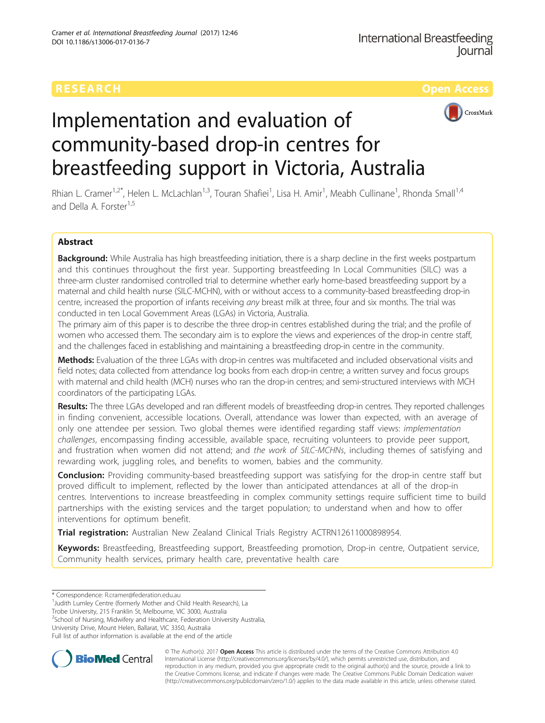# **RESEARCH CHILD CONTROL** CONTROL CONTROL CONTROL CONTROL CONTROL CONTROL CONTROL CONTROL CONTROL CONTROL CONTROL CONTROL CONTROL CONTROL CONTROL CONTROL CONTROL CONTROL CONTROL CONTROL CONTROL CONTROL CONTROL CONTROL CONTR



# Implementation and evaluation of community-based drop-in centres for breastfeeding support in Victoria, Australia

Rhian L. Cramer<sup>1,2\*</sup>, Helen L. McLachlan<sup>1,3</sup>, Touran Shafiei<sup>1</sup>, Lisa H. Amir<sup>1</sup>, Meabh Cullinane<sup>1</sup>, Rhonda Small<sup>1,4</sup> and Della A. Forster<sup>1,5</sup>

## Abstract

Background: While Australia has high breastfeeding initiation, there is a sharp decline in the first weeks postpartum and this continues throughout the first year. Supporting breastfeeding In Local Communities (SILC) was a three-arm cluster randomised controlled trial to determine whether early home-based breastfeeding support by a maternal and child health nurse (SILC-MCHN), with or without access to a community-based breastfeeding drop-in centre, increased the proportion of infants receiving any breast milk at three, four and six months. The trial was conducted in ten Local Government Areas (LGAs) in Victoria, Australia.

The primary aim of this paper is to describe the three drop-in centres established during the trial; and the profile of women who accessed them. The secondary aim is to explore the views and experiences of the drop-in centre staff, and the challenges faced in establishing and maintaining a breastfeeding drop-in centre in the community.

Methods: Evaluation of the three LGAs with drop-in centres was multifaceted and included observational visits and field notes; data collected from attendance log books from each drop-in centre; a written survey and focus groups with maternal and child health (MCH) nurses who ran the drop-in centres; and semi-structured interviews with MCH coordinators of the participating LGAs.

Results: The three LGAs developed and ran different models of breastfeeding drop-in centres. They reported challenges in finding convenient, accessible locations. Overall, attendance was lower than expected, with an average of only one attendee per session. Two global themes were identified regarding staff views: implementation challenges, encompassing finding accessible, available space, recruiting volunteers to provide peer support, and frustration when women did not attend; and the work of SILC-MCHNs, including themes of satisfying and rewarding work, juggling roles, and benefits to women, babies and the community.

**Conclusion:** Providing community-based breastfeeding support was satisfying for the drop-in centre staff but proved difficult to implement, reflected by the lower than anticipated attendances at all of the drop-in centres. Interventions to increase breastfeeding in complex community settings require sufficient time to build partnerships with the existing services and the target population; to understand when and how to offer interventions for optimum benefit.

Trial registration: Australian New Zealand Clinical Trials Registry [ACTRN12611000898954.](https://www.anzctr.org.au/Trial/Registration/TrialReview.aspx?ACTRN=12611000898954)

Keywords: Breastfeeding, Breastfeeding support, Breastfeeding promotion, Drop-in centre, Outpatient service, Community health services, primary health care, preventative health care

<sup>1</sup> Judith Lumley Centre (formerly Mother and Child Health Research), La

Trobe University, 215 Franklin St, Melbourne, VIC 3000, Australia

<sup>2</sup>School of Nursing, Midwifery and Healthcare, Federation University Australia, University Drive, Mount Helen, Ballarat, VIC 3350, Australia

Full list of author information is available at the end of the article



© The Author(s). 2017 **Open Access** This article is distributed under the terms of the Creative Commons Attribution 4.0 International License [\(http://creativecommons.org/licenses/by/4.0/](http://creativecommons.org/licenses/by/4.0/)), which permits unrestricted use, distribution, and reproduction in any medium, provided you give appropriate credit to the original author(s) and the source, provide a link to the Creative Commons license, and indicate if changes were made. The Creative Commons Public Domain Dedication waiver [\(http://creativecommons.org/publicdomain/zero/1.0/](http://creativecommons.org/publicdomain/zero/1.0/)) applies to the data made available in this article, unless otherwise stated.

<sup>\*</sup> Correspondence: [R.cramer@federation.edu.au](mailto:R.cramer@federation.edu.au) <sup>1</sup>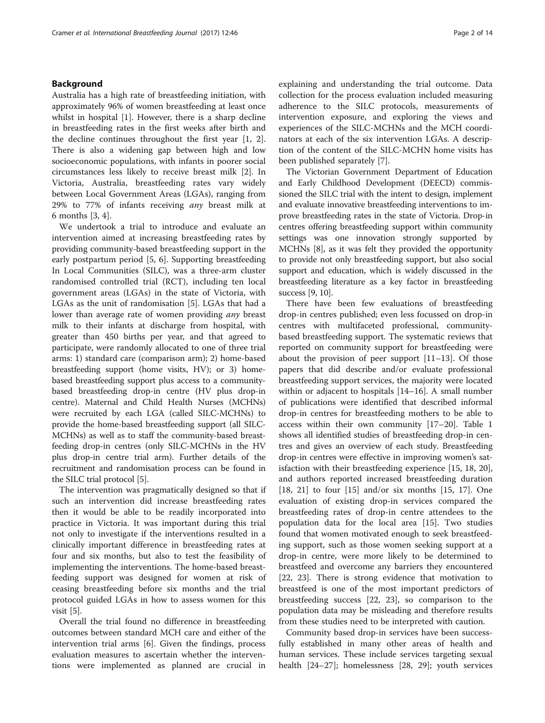#### Background

Australia has a high rate of breastfeeding initiation, with approximately 96% of women breastfeeding at least once whilst in hospital [[1\]](#page-12-0). However, there is a sharp decline in breastfeeding rates in the first weeks after birth and the decline continues throughout the first year [\[1](#page-12-0), [2](#page-12-0)]. There is also a widening gap between high and low socioeconomic populations, with infants in poorer social circumstances less likely to receive breast milk [[2\]](#page-12-0). In Victoria, Australia, breastfeeding rates vary widely between Local Government Areas (LGAs), ranging from 29% to 77% of infants receiving any breast milk at 6 months [[3, 4\]](#page-12-0).

We undertook a trial to introduce and evaluate an intervention aimed at increasing breastfeeding rates by providing community-based breastfeeding support in the early postpartum period [\[5](#page-12-0), [6\]](#page-12-0). Supporting breastfeeding In Local Communities (SILC), was a three-arm cluster randomised controlled trial (RCT), including ten local government areas (LGAs) in the state of Victoria, with LGAs as the unit of randomisation [\[5\]](#page-12-0). LGAs that had a lower than average rate of women providing *any* breast milk to their infants at discharge from hospital, with greater than 450 births per year, and that agreed to participate, were randomly allocated to one of three trial arms: 1) standard care (comparison arm); 2) home-based breastfeeding support (home visits, HV); or 3) homebased breastfeeding support plus access to a communitybased breastfeeding drop-in centre (HV plus drop-in centre). Maternal and Child Health Nurses (MCHNs) were recruited by each LGA (called SILC-MCHNs) to provide the home-based breastfeeding support (all SILC-MCHNs) as well as to staff the community-based breastfeeding drop-in centres (only SILC-MCHNs in the HV plus drop-in centre trial arm). Further details of the recruitment and randomisation process can be found in the SILC trial protocol [[5](#page-12-0)].

The intervention was pragmatically designed so that if such an intervention did increase breastfeeding rates then it would be able to be readily incorporated into practice in Victoria. It was important during this trial not only to investigate if the interventions resulted in a clinically important difference in breastfeeding rates at four and six months, but also to test the feasibility of implementing the interventions. The home-based breastfeeding support was designed for women at risk of ceasing breastfeeding before six months and the trial protocol guided LGAs in how to assess women for this visit [\[5](#page-12-0)].

Overall the trial found no difference in breastfeeding outcomes between standard MCH care and either of the intervention trial arms [[6\]](#page-12-0). Given the findings, process evaluation measures to ascertain whether the interventions were implemented as planned are crucial in

explaining and understanding the trial outcome. Data collection for the process evaluation included measuring adherence to the SILC protocols, measurements of intervention exposure, and exploring the views and experiences of the SILC-MCHNs and the MCH coordinators at each of the six intervention LGAs. A description of the content of the SILC-MCHN home visits has been published separately [[7\]](#page-12-0).

The Victorian Government Department of Education and Early Childhood Development (DEECD) commissioned the SILC trial with the intent to design, implement and evaluate innovative breastfeeding interventions to improve breastfeeding rates in the state of Victoria. Drop-in centres offering breastfeeding support within community settings was one innovation strongly supported by MCHNs [[8](#page-12-0)], as it was felt they provided the opportunity to provide not only breastfeeding support, but also social support and education, which is widely discussed in the breastfeeding literature as a key factor in breastfeeding success [[9, 10\]](#page-12-0).

There have been few evaluations of breastfeeding drop-in centres published; even less focussed on drop-in centres with multifaceted professional, communitybased breastfeeding support. The systematic reviews that reported on community support for breastfeeding were about the provision of peer support [\[11](#page-12-0)–[13\]](#page-12-0). Of those papers that did describe and/or evaluate professional breastfeeding support services, the majority were located within or adjacent to hospitals [\[14](#page-12-0)–[16\]](#page-12-0). A small number of publications were identified that described informal drop-in centres for breastfeeding mothers to be able to access within their own community [[17](#page-12-0)–[20](#page-12-0)]. Table [1](#page-2-0) shows all identified studies of breastfeeding drop-in centres and gives an overview of each study. Breastfeeding drop-in centres were effective in improving women's satisfaction with their breastfeeding experience [\[15, 18](#page-12-0), [20](#page-12-0)], and authors reported increased breastfeeding duration [[18, 21](#page-12-0)] to four [\[15\]](#page-12-0) and/or six months [[15](#page-12-0), [17](#page-12-0)]. One evaluation of existing drop-in services compared the breastfeeding rates of drop-in centre attendees to the population data for the local area [[15\]](#page-12-0). Two studies found that women motivated enough to seek breastfeeding support, such as those women seeking support at a drop-in centre, were more likely to be determined to breastfeed and overcome any barriers they encountered [[22, 23](#page-12-0)]. There is strong evidence that motivation to breastfeed is one of the most important predictors of breastfeeding success [[22, 23\]](#page-12-0), so comparison to the population data may be misleading and therefore results from these studies need to be interpreted with caution.

Community based drop-in services have been successfully established in many other areas of health and human services. These include services targeting sexual health [[24](#page-12-0)–[27](#page-12-0)]; homelessness [\[28, 29\]](#page-12-0); youth services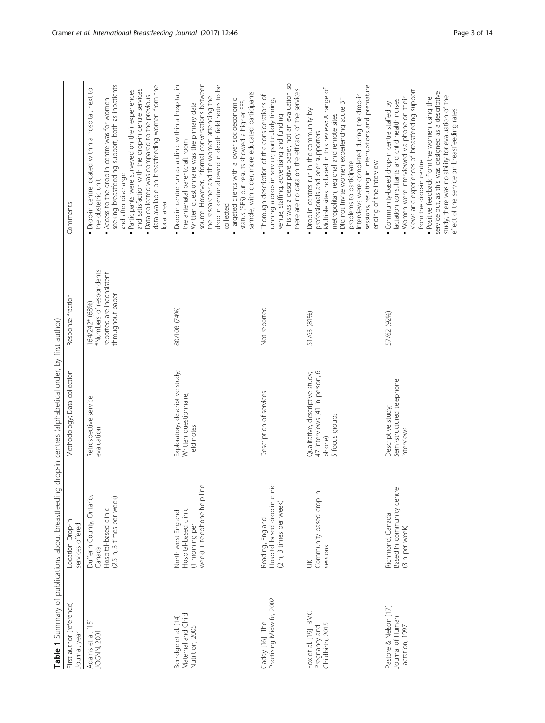| ļ<br>J                             |
|------------------------------------|
|                                    |
|                                    |
|                                    |
|                                    |
|                                    |
|                                    |
|                                    |
| į<br>l                             |
|                                    |
| j<br>I<br>Ì<br>ī<br>i              |
|                                    |
| Ì                                  |
| ž                                  |
| ć                                  |
|                                    |
| ۱<br>ا                             |
| j                                  |
|                                    |
| ļ<br>$\overline{a}$                |
| 5<br>$\ddot{\phantom{0}}$          |
|                                    |
| $\frac{1}{2}$<br>ì<br>İ            |
| í                                  |
|                                    |
| j<br>J                             |
| +ממה מו המא                        |
|                                    |
|                                    |
| b                                  |
|                                    |
| l                                  |
| ١<br>Ç<br>ï                        |
|                                    |
| 5<br>i                             |
| י<br>י<br>.<br>)<br>ı              |
|                                    |
| ۱<br>ا                             |
| ;<br>;<br>ı                        |
| ;<br>);<br>);<br>$\overline{a}$    |
|                                    |
| 5<br>)                             |
|                                    |
| J<br>$\overline{\phantom{a}}$<br>ś |
| ໌<br>ເ                             |
| $\frac{1}{2}$                      |
| i<br>J                             |
| $\frac{1}{2}$                      |
| $\frac{1}{2}$<br>Ï                 |
|                                    |
|                                    |
|                                    |
|                                    |
| $\frac{1}{2}$<br>$\mathcal{L}$     |
|                                    |
| Ç<br>Ċ                             |
| 5                                  |
| l                                  |
|                                    |
| j                                  |
| .<br>.<br>.<br>ţ                   |
| j                                  |
|                                    |
| able                               |
| 7                                  |
| I                                  |
|                                    |

<span id="page-2-0"></span>

| First author [reference]<br>Journal, year                     | Location Drop-in<br>services offered                                                         | Methodology; Data collection                                                                  | Response fraction                                                                         | Comments                                                                                                                                                                                                                                                                                                                                                                                                                                                       |
|---------------------------------------------------------------|----------------------------------------------------------------------------------------------|-----------------------------------------------------------------------------------------------|-------------------------------------------------------------------------------------------|----------------------------------------------------------------------------------------------------------------------------------------------------------------------------------------------------------------------------------------------------------------------------------------------------------------------------------------------------------------------------------------------------------------------------------------------------------------|
| Adams et al. [15]<br><b>JOGNN, 2001</b>                       | Dufferin County, Ontario,<br>(2.5 h, 3 times per week)<br>Hospital-based clinic<br>Canada    | Retrospective service<br>evaluation                                                           | *Numbers of respondents<br>reported are inconsistent<br>throughout paper<br>64/242* (68%) | seeking breastfeeding support, both as inpatients<br>data available on breastfeeding women from the<br>· Drop-in centre located within a hospital, next to<br>and satisfaction with the drop-in centre services<br>· Participants were surveyed on their experiences<br>· Data collected was compared to the previous<br>Access to the drop-in centre was for women<br>and after discharge<br>the obstetric unit<br>local area                                 |
| Maternal and Child<br>Berridge et al. [14]<br>Nutrition, 2005 | week) + telephone help line<br>Hospital-based clinic<br>North-west England<br>(1 morning per | Exploratory, descriptive study;<br>Written questionnaire,<br>Field notes                      | 80/108 (74%)                                                                              | source. However, informal conversations between<br>· Drop-in centre run as a clinic within a hospital, in<br>drop-in centre allowed in-depth field notes to be<br>sample, with older, more educated participants<br>the researcher and the women attending the<br>· Targeted clients with a lower socioeconomic<br>status (SES) but results showed a higher SES<br>. Written questionnaire was the primary data<br>the antenatal parentcraft room<br>collected |
| Practising Midwife, 2002<br>Caddy [16] The                    | Hospital-based drop-in clinic<br>(2 h, 3 times per week)<br>Reading, England                 | Description of services                                                                       | Not reported                                                                              | This was a descriptive paper, not an evaluation so<br>there are no data on the efficacy of the services<br>. Thorough description of the considerations of<br>running a drop-in service; particularly timing,<br>venue, staffing, advertising and funding                                                                                                                                                                                                      |
| Fox et al. [19] BMC<br>Childbirth, 2015<br>Pregnancy and      | Community-based drop-in<br>sessions<br>š                                                     | 47 interviews (41 in person, 6<br>Qualitative, descriptive study;<br>phone)<br>5 focus groups | 51/63 (81%)                                                                               | sessions, resulting in interruptions and premature<br>· Multiple sites included in this review: A range of<br>Interviews were completed during the drop-in<br>· Did not invite women experiencing acute BF<br>• Drop-in centres run in the community by<br>metropolitan, regional and remote sites<br>professionals and peer supporters<br>problems to participate<br>ending of the interview                                                                  |
| Pastore & Nelson [17]<br>Journal of Human<br>Lactation, 1997  | Based in community centre<br>Richmond, Canada<br>(3 h per week)                              | Semi-structured telephone<br>Descriptive study;<br>interviews                                 | 57/62 (92%)                                                                               | views and experiences of breastfeeding support<br>service but, as this was designed as a descriptive<br>study, there was no ability for evaluation of the<br>· Positive feedback from the women using the<br>. Women were interviewed via phone on their<br>lactation consultants and child health nurses<br>Community-based drop-in centre staffed by<br>effect of the service on breastfeeding rates<br>from the drop-in centre                              |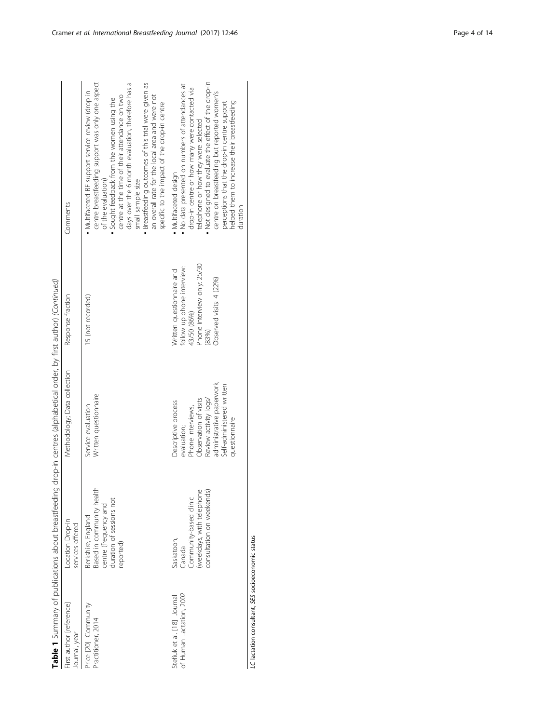Table 1 Summary of publications about breastfeeding drop-in centres (alphabetical order, by first author) (Continued) Table 1 Summary of publications about breastfeeding drop-in centres (alphabetical order, by first author) (Continued)

| First author [reference]<br>Journal, year               | Location Drop-in<br>services offered                                                                              | Methodology; Data collection                                                                                                                                                        | Response fraction                                                                                                                          | Comments                                                                                                                                                                                                                                                                                                                                                                                                                                                    |
|---------------------------------------------------------|-------------------------------------------------------------------------------------------------------------------|-------------------------------------------------------------------------------------------------------------------------------------------------------------------------------------|--------------------------------------------------------------------------------------------------------------------------------------------|-------------------------------------------------------------------------------------------------------------------------------------------------------------------------------------------------------------------------------------------------------------------------------------------------------------------------------------------------------------------------------------------------------------------------------------------------------------|
| Price [20] Community<br>Practitioner, 2014              | Based in community health<br>duration of sessions not<br>centre (frequency and<br>Berkshire, England<br>reported) | Written questionnaire<br>Service evaluation                                                                                                                                         | 15 (not recorded)                                                                                                                          | centre breastfeeding support was only one aspect<br>days over the 6 month evaluation, therefore has a<br>· Breastfeeding outcomes of this trial were given as<br>Multifaceted BF support service review (drop-in<br>centre at the time of their attendance on two<br>an overall rate for the local area and were not<br>Sought feedback from the women using the<br>specific to the impact of the drop-in centre<br>small sample size<br>of the evaluation) |
| of Human Lactation, 2002<br>Stefiuk et al. [18] Journal | consultation on weekends)<br>weekdays, with telephone<br>Community-based clinic<br>Saskatoon,<br>Canada           | administrative paperwork<br>Self-administered written<br>Review activity logs/<br>Observation of visits<br>Descriptive process<br>Phone interviews,<br>questionnaire<br>evaluation; | Phone interview only: 25/30<br>follow up phone interview:<br>Written questionnaire and<br>Observed visits: 4 (22%)<br>43/50 (86%)<br>(83%) | . Not designed to evaluate the effect of the drop-in<br>• No data presented on numbers of attendances at<br>drop-in centre or how many were contacted via<br>centre on breastfeeding but reported women's<br>nelped them to increase their breastfeeding<br>berceptions that the drop-in centre support<br>telephone or how they were selected<br>· Multifaceted design<br>duration                                                                         |

LC lactation consultant, SES socioeconomic status LC lactation consultant, SES socioeconomic status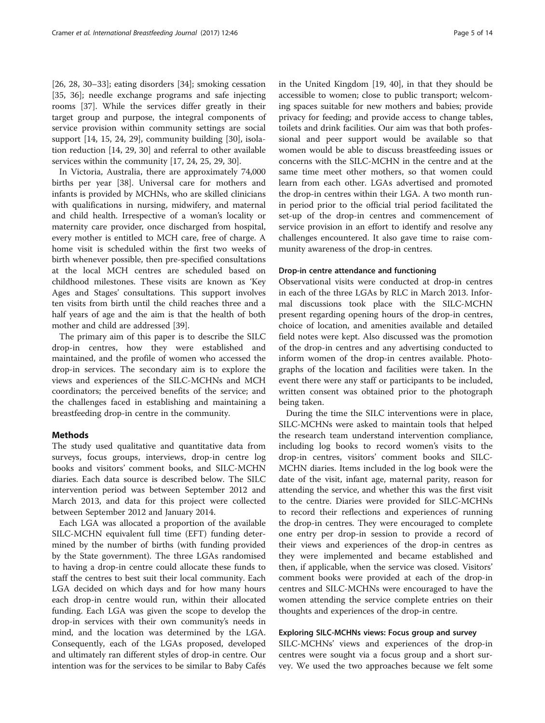[[26, 28](#page-12-0), [30](#page-12-0)–[33](#page-12-0)]; eating disorders [[34\]](#page-12-0); smoking cessation [[35, 36\]](#page-12-0); needle exchange programs and safe injecting rooms [\[37](#page-12-0)]. While the services differ greatly in their target group and purpose, the integral components of service provision within community settings are social support [[14, 15](#page-12-0), [24](#page-12-0), [29\]](#page-12-0), community building [[30\]](#page-12-0), isolation reduction [[14, 29, 30\]](#page-12-0) and referral to other available services within the community [[17, 24, 25, 29, 30](#page-12-0)].

In Victoria, Australia, there are approximately 74,000 births per year [[38\]](#page-12-0). Universal care for mothers and infants is provided by MCHNs, who are skilled clinicians with qualifications in nursing, midwifery, and maternal and child health. Irrespective of a woman's locality or maternity care provider, once discharged from hospital, every mother is entitled to MCH care, free of charge. A home visit is scheduled within the first two weeks of birth whenever possible, then pre-specified consultations at the local MCH centres are scheduled based on childhood milestones. These visits are known as 'Key Ages and Stages' consultations. This support involves ten visits from birth until the child reaches three and a half years of age and the aim is that the health of both mother and child are addressed [\[39\]](#page-12-0).

The primary aim of this paper is to describe the SILC drop-in centres, how they were established and maintained, and the profile of women who accessed the drop-in services. The secondary aim is to explore the views and experiences of the SILC-MCHNs and MCH coordinators; the perceived benefits of the service; and the challenges faced in establishing and maintaining a breastfeeding drop-in centre in the community.

#### Methods

The study used qualitative and quantitative data from surveys, focus groups, interviews, drop-in centre log books and visitors' comment books, and SILC-MCHN diaries. Each data source is described below. The SILC intervention period was between September 2012 and March 2013, and data for this project were collected between September 2012 and January 2014.

Each LGA was allocated a proportion of the available SILC-MCHN equivalent full time (EFT) funding determined by the number of births (with funding provided by the State government). The three LGAs randomised to having a drop-in centre could allocate these funds to staff the centres to best suit their local community. Each LGA decided on which days and for how many hours each drop-in centre would run, within their allocated funding. Each LGA was given the scope to develop the drop-in services with their own community's needs in mind, and the location was determined by the LGA. Consequently, each of the LGAs proposed, developed and ultimately ran different styles of drop-in centre. Our intention was for the services to be similar to Baby Cafés in the United Kingdom [[19, 40\]](#page-12-0), in that they should be accessible to women; close to public transport; welcoming spaces suitable for new mothers and babies; provide privacy for feeding; and provide access to change tables, toilets and drink facilities. Our aim was that both professional and peer support would be available so that women would be able to discuss breastfeeding issues or concerns with the SILC-MCHN in the centre and at the same time meet other mothers, so that women could learn from each other. LGAs advertised and promoted the drop-in centres within their LGA. A two month runin period prior to the official trial period facilitated the set-up of the drop-in centres and commencement of service provision in an effort to identify and resolve any challenges encountered. It also gave time to raise community awareness of the drop-in centres.

#### Drop-in centre attendance and functioning

Observational visits were conducted at drop-in centres in each of the three LGAs by RLC in March 2013. Informal discussions took place with the SILC-MCHN present regarding opening hours of the drop-in centres, choice of location, and amenities available and detailed field notes were kept. Also discussed was the promotion of the drop-in centres and any advertising conducted to inform women of the drop-in centres available. Photographs of the location and facilities were taken. In the event there were any staff or participants to be included, written consent was obtained prior to the photograph being taken.

During the time the SILC interventions were in place, SILC-MCHNs were asked to maintain tools that helped the research team understand intervention compliance, including log books to record women's visits to the drop-in centres, visitors' comment books and SILC-MCHN diaries. Items included in the log book were the date of the visit, infant age, maternal parity, reason for attending the service, and whether this was the first visit to the centre. Diaries were provided for SILC-MCHNs to record their reflections and experiences of running the drop-in centres. They were encouraged to complete one entry per drop-in session to provide a record of their views and experiences of the drop-in centres as they were implemented and became established and then, if applicable, when the service was closed. Visitors' comment books were provided at each of the drop-in centres and SILC-MCHNs were encouraged to have the women attending the service complete entries on their thoughts and experiences of the drop-in centre.

#### Exploring SILC-MCHNs views: Focus group and survey

SILC-MCHNs' views and experiences of the drop-in centres were sought via a focus group and a short survey. We used the two approaches because we felt some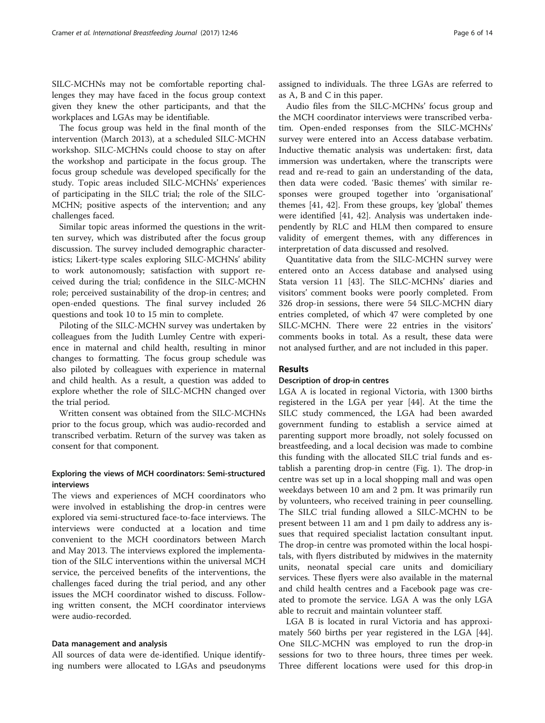SILC-MCHNs may not be comfortable reporting challenges they may have faced in the focus group context given they knew the other participants, and that the workplaces and LGAs may be identifiable.

The focus group was held in the final month of the intervention (March 2013), at a scheduled SILC-MCHN workshop. SILC-MCHNs could choose to stay on after the workshop and participate in the focus group. The focus group schedule was developed specifically for the study. Topic areas included SILC-MCHNs' experiences of participating in the SILC trial; the role of the SILC-MCHN; positive aspects of the intervention; and any challenges faced.

Similar topic areas informed the questions in the written survey, which was distributed after the focus group discussion. The survey included demographic characteristics; Likert-type scales exploring SILC-MCHNs' ability to work autonomously; satisfaction with support received during the trial; confidence in the SILC-MCHN role; perceived sustainability of the drop-in centres; and open-ended questions. The final survey included 26 questions and took 10 to 15 min to complete.

Piloting of the SILC-MCHN survey was undertaken by colleagues from the Judith Lumley Centre with experience in maternal and child health, resulting in minor changes to formatting. The focus group schedule was also piloted by colleagues with experience in maternal and child health. As a result, a question was added to explore whether the role of SILC-MCHN changed over the trial period.

Written consent was obtained from the SILC-MCHNs prior to the focus group, which was audio-recorded and transcribed verbatim. Return of the survey was taken as consent for that component.

## Exploring the views of MCH coordinators: Semi-structured interviews

The views and experiences of MCH coordinators who were involved in establishing the drop-in centres were explored via semi-structured face-to-face interviews. The interviews were conducted at a location and time convenient to the MCH coordinators between March and May 2013. The interviews explored the implementation of the SILC interventions within the universal MCH service, the perceived benefits of the interventions, the challenges faced during the trial period, and any other issues the MCH coordinator wished to discuss. Following written consent, the MCH coordinator interviews were audio-recorded.

#### Data management and analysis

All sources of data were de-identified. Unique identifying numbers were allocated to LGAs and pseudonyms

assigned to individuals. The three LGAs are referred to as A, B and C in this paper.

Audio files from the SILC-MCHNs' focus group and the MCH coordinator interviews were transcribed verbatim. Open-ended responses from the SILC-MCHNs' survey were entered into an Access database verbatim. Inductive thematic analysis was undertaken: first, data immersion was undertaken, where the transcripts were read and re-read to gain an understanding of the data, then data were coded. 'Basic themes' with similar responses were grouped together into 'organisational' themes [[41, 42](#page-12-0)]. From these groups, key 'global' themes were identified [[41, 42\]](#page-12-0). Analysis was undertaken independently by RLC and HLM then compared to ensure validity of emergent themes, with any differences in interpretation of data discussed and resolved.

Quantitative data from the SILC-MCHN survey were entered onto an Access database and analysed using Stata version 11 [[43](#page-13-0)]. The SILC-MCHNs' diaries and visitors' comment books were poorly completed. From 326 drop-in sessions, there were 54 SILC-MCHN diary entries completed, of which 47 were completed by one SILC-MCHN. There were 22 entries in the visitors' comments books in total. As a result, these data were not analysed further, and are not included in this paper.

#### Results

#### Description of drop-in centres

LGA A is located in regional Victoria, with 1300 births registered in the LGA per year [[44\]](#page-13-0). At the time the SILC study commenced, the LGA had been awarded government funding to establish a service aimed at parenting support more broadly, not solely focussed on breastfeeding, and a local decision was made to combine this funding with the allocated SILC trial funds and establish a parenting drop-in centre (Fig. [1](#page-6-0)). The drop-in centre was set up in a local shopping mall and was open weekdays between 10 am and 2 pm. It was primarily run by volunteers, who received training in peer counselling. The SILC trial funding allowed a SILC-MCHN to be present between 11 am and 1 pm daily to address any issues that required specialist lactation consultant input. The drop-in centre was promoted within the local hospitals, with flyers distributed by midwives in the maternity units, neonatal special care units and domiciliary services. These flyers were also available in the maternal and child health centres and a Facebook page was created to promote the service. LGA A was the only LGA able to recruit and maintain volunteer staff.

LGA B is located in rural Victoria and has approximately 560 births per year registered in the LGA [\[44](#page-13-0)]. One SILC-MCHN was employed to run the drop-in sessions for two to three hours, three times per week. Three different locations were used for this drop-in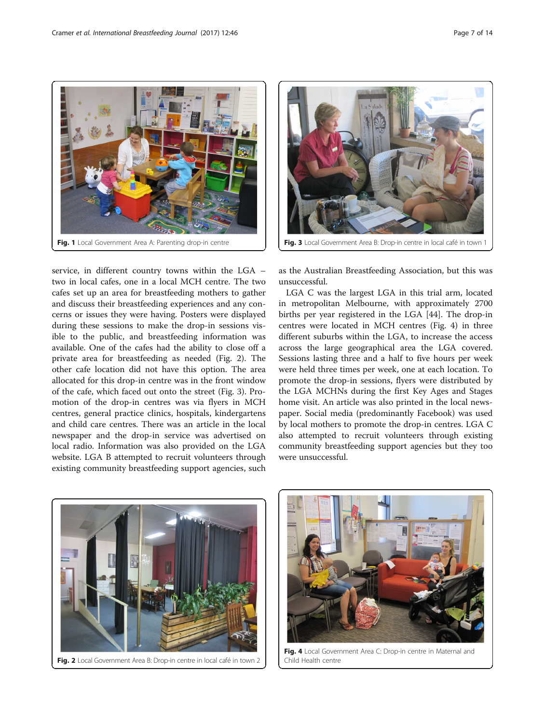<span id="page-6-0"></span>

service, in different country towns within the LGA – two in local cafes, one in a local MCH centre. The two cafes set up an area for breastfeeding mothers to gather and discuss their breastfeeding experiences and any concerns or issues they were having. Posters were displayed during these sessions to make the drop-in sessions visible to the public, and breastfeeding information was available. One of the cafes had the ability to close off a private area for breastfeeding as needed (Fig. 2). The other cafe location did not have this option. The area allocated for this drop-in centre was in the front window of the cafe, which faced out onto the street (Fig. 3). Promotion of the drop-in centres was via flyers in MCH centres, general practice clinics, hospitals, kindergartens and child care centres. There was an article in the local newspaper and the drop-in service was advertised on local radio. Information was also provided on the LGA website. LGA B attempted to recruit volunteers through existing community breastfeeding support agencies, such



as the Australian Breastfeeding Association, but this was unsuccessful.

LGA C was the largest LGA in this trial arm, located in metropolitan Melbourne, with approximately 2700 births per year registered in the LGA [[44\]](#page-13-0). The drop-in centres were located in MCH centres (Fig. 4) in three different suburbs within the LGA, to increase the access across the large geographical area the LGA covered. Sessions lasting three and a half to five hours per week were held three times per week, one at each location. To promote the drop-in sessions, flyers were distributed by the LGA MCHNs during the first Key Ages and Stages home visit. An article was also printed in the local newspaper. Social media (predominantly Facebook) was used by local mothers to promote the drop-in centres. LGA C also attempted to recruit volunteers through existing community breastfeeding support agencies but they too were unsuccessful.



Fig. 2 Local Government Area B: Drop-in centre in local café in town 2



Fig. 4 Local Government Area C: Drop-in centre in Maternal and Child Health centre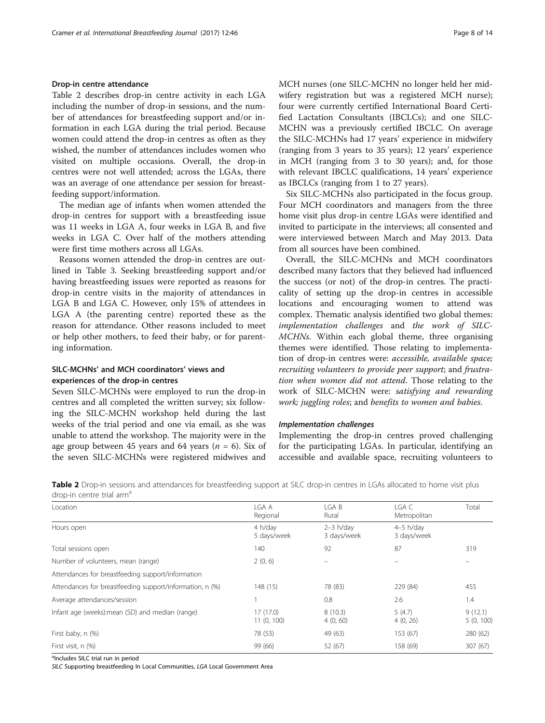#### Drop-in centre attendance

Table 2 describes drop-in centre activity in each LGA including the number of drop-in sessions, and the number of attendances for breastfeeding support and/or information in each LGA during the trial period. Because women could attend the drop-in centres as often as they wished, the number of attendances includes women who visited on multiple occasions. Overall, the drop-in centres were not well attended; across the LGAs, there was an average of one attendance per session for breastfeeding support/information.

The median age of infants when women attended the drop-in centres for support with a breastfeeding issue was 11 weeks in LGA A, four weeks in LGA B, and five weeks in LGA C. Over half of the mothers attending were first time mothers across all LGAs.

Reasons women attended the drop-in centres are outlined in Table [3.](#page-8-0) Seeking breastfeeding support and/or having breastfeeding issues were reported as reasons for drop-in centre visits in the majority of attendances in LGA B and LGA C. However, only 15% of attendees in LGA A (the parenting centre) reported these as the reason for attendance. Other reasons included to meet or help other mothers, to feed their baby, or for parenting information.

## SILC-MCHNs' and MCH coordinators' views and experiences of the drop-in centres

Seven SILC-MCHNs were employed to run the drop-in centres and all completed the written survey; six following the SILC-MCHN workshop held during the last weeks of the trial period and one via email, as she was unable to attend the workshop. The majority were in the age group between 45 years and 64 years ( $n = 6$ ). Six of the seven SILC-MCHNs were registered midwives and MCH nurses (one SILC-MCHN no longer held her midwifery registration but was a registered MCH nurse); four were currently certified International Board Certified Lactation Consultants (IBCLCs); and one SILC-MCHN was a previously certified IBCLC. On average the SILC-MCHNs had 17 years' experience in midwifery (ranging from 3 years to 35 years); 12 years' experience in MCH (ranging from 3 to 30 years); and, for those with relevant IBCLC qualifications, 14 years' experience as IBCLCs (ranging from 1 to 27 years).

Six SILC-MCHNs also participated in the focus group. Four MCH coordinators and managers from the three home visit plus drop-in centre LGAs were identified and invited to participate in the interviews; all consented and were interviewed between March and May 2013. Data from all sources have been combined.

Overall, the SILC-MCHNs and MCH coordinators described many factors that they believed had influenced the success (or not) of the drop-in centres. The practicality of setting up the drop-in centres in accessible locations and encouraging women to attend was complex. Thematic analysis identified two global themes: implementation challenges and the work of SILC-MCHNs. Within each global theme, three organising themes were identified. Those relating to implementation of drop-in centres were: accessible, available space; recruiting volunteers to provide peer support; and frustration when women did not attend. Those relating to the work of SILC-MCHN were: satisfying and rewarding work; juggling roles; and benefits to women and babies.

Implementing the drop-in centres proved challenging for the participating LGAs. In particular, identifying an accessible and available space, recruiting volunteers to

| Location                                                 | LGA A<br>Regional      | LGA B<br>Rural             | LGA C<br>Metropolitan      | Total                |
|----------------------------------------------------------|------------------------|----------------------------|----------------------------|----------------------|
| Hours open                                               | 4 h/day<br>5 days/week | $2-3$ h/day<br>3 days/week | $4-5$ h/day<br>3 days/week |                      |
| Total sessions open                                      | 140                    | 92                         | 87                         | 319                  |
| Number of volunteers, mean (range)                       | 2(0, 6)                |                            |                            |                      |
| Attendances for breastfeeding support/information        |                        |                            |                            |                      |
| Attendances for breastfeeding support/information, n (%) | 148 (15)               | 78 (83)                    | 229 (84)                   | 455                  |
| Average attendances/session                              |                        | 0.8                        | 2.6                        | 1.4                  |
| Infant age (weeks):mean (SD) and median (range)          | 17(17.0)<br>11(0, 100) | 8(10.3)<br>4(0, 60)        | 5(4.7)<br>4(0, 26)         | 9(12.1)<br>5(0, 100) |
| First baby, n (%)                                        | 78 (53)                | 49 (63)                    | 153 (67)                   | 280 (62)             |
| First visit, n (%)                                       | 99 (66)                | 52 (67)                    | 158 (69)                   | 307 (67)             |

Table 2 Drop-in sessions and attendances for breastfeeding support at SILC drop-in centres in LGAs allocated to home visit plus drop-in centre trial arm<sup>a</sup>

<sup>a</sup>Includes SILC trial run in period

SILC Supporting breastfeeding In Local Communities, LGA Local Government Area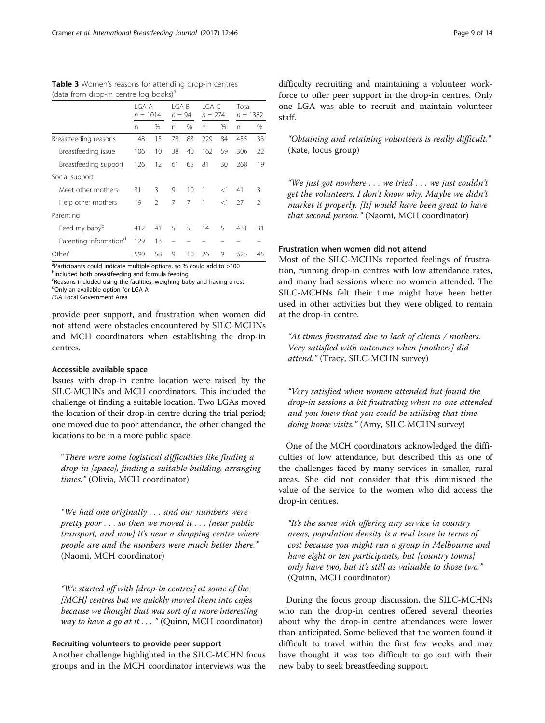|                                    | LGA A<br>$n = 1014$ |      | LGA B<br>$n = 94$ |               | LGA C<br>$n = 274$ |      | Total<br>$n = 1382$ |                |
|------------------------------------|---------------------|------|-------------------|---------------|--------------------|------|---------------------|----------------|
|                                    | n                   | $\%$ | n                 | $\frac{0}{0}$ | n                  | $\%$ | n                   | $\frac{0}{0}$  |
| Breastfeeding reasons              | 148                 | 15   | 78                | 83            | 229                | 84   | 455                 | 33             |
| Breastfeeding issue                | 106                 | 10   | 38                | 40            | 162                | 59   | 306                 | 22             |
| Breastfeeding support              | 126                 | 12   | 61                | 65            | 81                 | 30   | 268                 | 19             |
| Social support                     |                     |      |                   |               |                    |      |                     |                |
| Meet other mothers                 | 31                  | 3    | 9                 | 10            | 1                  | <1   | 41                  | 3              |
| Help other mothers                 | 19                  | 2    | 7                 | 7             | 1                  | <1   | 27                  | $\mathfrak{D}$ |
| Parenting                          |                     |      |                   |               |                    |      |                     |                |
| Feed my baby <sup>b</sup>          | 412                 | 41   | 5                 | 5             | 14                 | 5    | 431                 | 31             |
| Parenting information <sup>d</sup> | 129                 | 13   |                   |               |                    |      |                     |                |
| Other <sup>c</sup>                 | 590                 | 58   | 9                 | 10            | 26                 | 9    | 625                 | 45             |

<span id="page-8-0"></span>Table 3 Women's reasons for attending drop-in centres (data from drop-in centre log books)<sup>a</sup>

<sup>a</sup>Participants could indicate multiple options, so % could add to >100

**b**Included both breastfeeding and formula feeding

Reasons included using the facilities, weighing baby and having a rest <sup>d</sup>Only an available option for LGA A

LGA Local Government Area

provide peer support, and frustration when women did not attend were obstacles encountered by SILC-MCHNs and MCH coordinators when establishing the drop-in centres.

#### Accessible available space

Issues with drop-in centre location were raised by the SILC-MCHNs and MCH coordinators. This included the challenge of finding a suitable location. Two LGAs moved the location of their drop-in centre during the trial period; one moved due to poor attendance, the other changed the locations to be in a more public space.

"There were some logistical difficulties like finding a drop-in [space], finding a suitable building, arranging times." (Olivia, MCH coordinator)

"We had one originally . . . and our numbers were pretty poor . . . so then we moved it . . . [near public transport, and now] it's near a shopping centre where people are and the numbers were much better there." (Naomi, MCH coordinator)

"We started off with [drop-in centres] at some of the [MCH] centres but we quickly moved them into cafes because we thought that was sort of a more interesting way to have a go at it . . . " (Quinn, MCH coordinator)

### Recruiting volunteers to provide peer support

Another challenge highlighted in the SILC-MCHN focus groups and in the MCH coordinator interviews was the difficulty recruiting and maintaining a volunteer workforce to offer peer support in the drop-in centres. Only one LGA was able to recruit and maintain volunteer staff.

"Obtaining and retaining volunteers is really difficult." (Kate, focus group)

"We just got nowhere . . . we tried . . . we just couldn't get the volunteers. I don't know why. Maybe we didn't market it properly. [It] would have been great to have that second person." (Naomi, MCH coordinator)

## Frustration when women did not attend

Most of the SILC-MCHNs reported feelings of frustration, running drop-in centres with low attendance rates, and many had sessions where no women attended. The SILC-MCHNs felt their time might have been better used in other activities but they were obliged to remain at the drop-in centre.

"At times frustrated due to lack of clients / mothers. Very satisfied with outcomes when [mothers] did attend." (Tracy, SILC-MCHN survey)

"Very satisfied when women attended but found the drop-in sessions a bit frustrating when no one attended and you knew that you could be utilising that time doing home visits." (Amy, SILC-MCHN survey)

One of the MCH coordinators acknowledged the difficulties of low attendance, but described this as one of the challenges faced by many services in smaller, rural areas. She did not consider that this diminished the value of the service to the women who did access the drop-in centres.

"It's the same with offering any service in country areas, population density is a real issue in terms of cost because you might run a group in Melbourne and have eight or ten participants, but [country towns] only have two, but it's still as valuable to those two." (Quinn, MCH coordinator)

During the focus group discussion, the SILC-MCHNs who ran the drop-in centres offered several theories about why the drop-in centre attendances were lower than anticipated. Some believed that the women found it difficult to travel within the first few weeks and may have thought it was too difficult to go out with their new baby to seek breastfeeding support.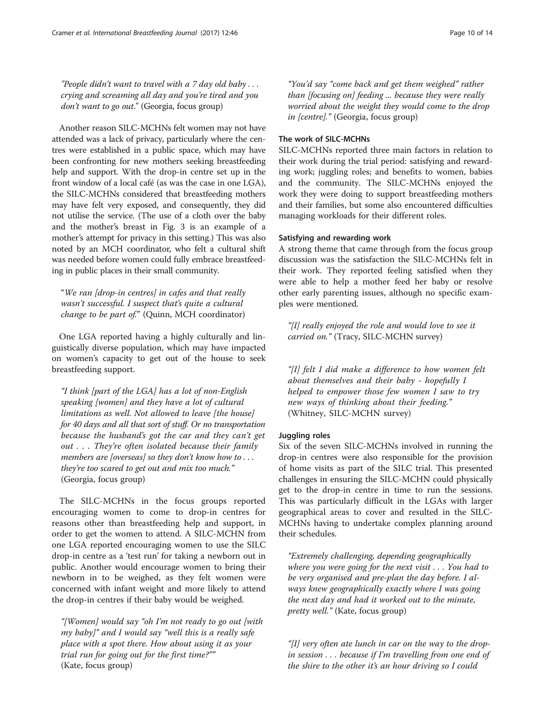"People didn't want to travel with a 7 day old baby  $\dots$ crying and screaming all day and you're tired and you don't want to go out." (Georgia, focus group)

Another reason SILC-MCHNs felt women may not have attended was a lack of privacy, particularly where the centres were established in a public space, which may have been confronting for new mothers seeking breastfeeding help and support. With the drop-in centre set up in the front window of a local café (as was the case in one LGA), the SILC-MCHNs considered that breastfeeding mothers may have felt very exposed, and consequently, they did not utilise the service. (The use of a cloth over the baby and the mother's breast in Fig. [3](#page-6-0) is an example of a mother's attempt for privacy in this setting.) This was also noted by an MCH coordinator, who felt a cultural shift was needed before women could fully embrace breastfeeding in public places in their small community.

"We ran [drop-in centres] in cafes and that really wasn't successful. I suspect that's quite a cultural change to be part of." (Quinn, MCH coordinator)

One LGA reported having a highly culturally and linguistically diverse population, which may have impacted on women's capacity to get out of the house to seek breastfeeding support.

"I think [part of the LGA] has a lot of non-English speaking [women] and they have a lot of cultural limitations as well. Not allowed to leave [the house] for 40 days and all that sort of stuff. Or no transportation because the husband's got the car and they can't get out . . . They're often isolated because their family members are [overseas] so they don't know how to . . . they're too scared to get out and mix too much." (Georgia, focus group)

The SILC-MCHNs in the focus groups reported encouraging women to come to drop-in centres for reasons other than breastfeeding help and support, in order to get the women to attend. A SILC-MCHN from one LGA reported encouraging women to use the SILC drop-in centre as a 'test run' for taking a newborn out in public. Another would encourage women to bring their newborn in to be weighed, as they felt women were concerned with infant weight and more likely to attend the drop-in centres if their baby would be weighed.

"[Women] would say "oh I'm not ready to go out [with my baby]" and I would say "well this is a really safe place with a spot there. How about using it as your trial run for going out for the first time?"" (Kate, focus group)

"You'd say "come back and get them weighed" rather than [focusing on] feeding ... because they were really worried about the weight they would come to the drop in [centre]." (Georgia, focus group)

### The work of SILC-MCHNs

SILC-MCHNs reported three main factors in relation to their work during the trial period: satisfying and rewarding work; juggling roles; and benefits to women, babies and the community. The SILC-MCHNs enjoyed the work they were doing to support breastfeeding mothers and their families, but some also encountered difficulties managing workloads for their different roles.

#### Satisfying and rewarding work

A strong theme that came through from the focus group discussion was the satisfaction the SILC-MCHNs felt in their work. They reported feeling satisfied when they were able to help a mother feed her baby or resolve other early parenting issues, although no specific examples were mentioned.

"[I] really enjoyed the role and would love to see it carried on." (Tracy, SILC-MCHN survey)

"[I] felt I did make a difference to how women felt about themselves and their baby - hopefully I helped to empower those few women I saw to try new ways of thinking about their feeding." (Whitney, SILC-MCHN survey)

#### Juggling roles

Six of the seven SILC-MCHNs involved in running the drop-in centres were also responsible for the provision of home visits as part of the SILC trial. This presented challenges in ensuring the SILC-MCHN could physically get to the drop-in centre in time to run the sessions. This was particularly difficult in the LGAs with larger geographical areas to cover and resulted in the SILC-MCHNs having to undertake complex planning around their schedules.

"Extremely challenging, depending geographically where you were going for the next visit . . . You had to be very organised and pre-plan the day before. I always knew geographically exactly where I was going the next day and had it worked out to the minute, pretty well." (Kate, focus group)

"[I] very often ate lunch in car on the way to the dropin session . . . because if I'm travelling from one end of the shire to the other it's an hour driving so I could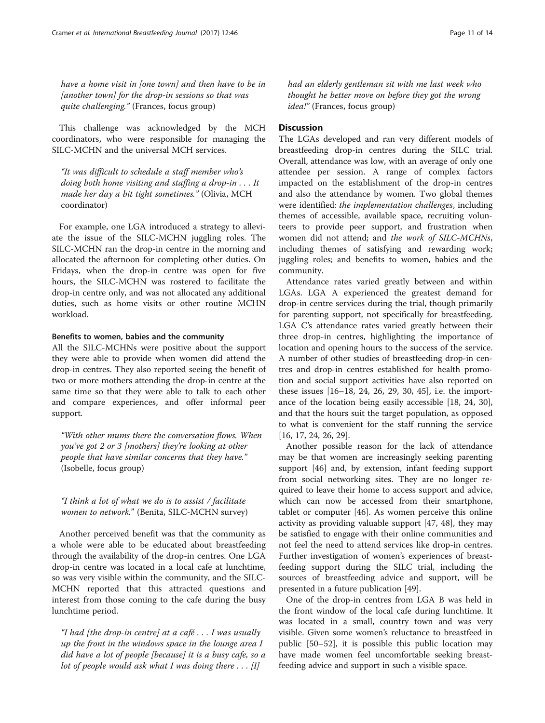have a home visit in [one town] and then have to be in [another town] for the drop-in sessions so that was quite challenging." (Frances, focus group)

This challenge was acknowledged by the MCH coordinators, who were responsible for managing the SILC-MCHN and the universal MCH services.

"It was difficult to schedule a staff member who's doing both home visiting and staffing a drop-in . . . It made her day a bit tight sometimes." (Olivia, MCH coordinator)

For example, one LGA introduced a strategy to alleviate the issue of the SILC-MCHN juggling roles. The SILC-MCHN ran the drop-in centre in the morning and allocated the afternoon for completing other duties. On Fridays, when the drop-in centre was open for five hours, the SILC-MCHN was rostered to facilitate the drop-in centre only, and was not allocated any additional duties, such as home visits or other routine MCHN workload.

#### Benefits to women, babies and the community

All the SILC-MCHNs were positive about the support they were able to provide when women did attend the drop-in centres. They also reported seeing the benefit of two or more mothers attending the drop-in centre at the same time so that they were able to talk to each other and compare experiences, and offer informal peer support.

"With other mums there the conversation flows. When you've got 2 or 3 [mothers] they're looking at other people that have similar concerns that they have." (Isobelle, focus group)

"I think a lot of what we do is to assist / facilitate women to network." (Benita, SILC-MCHN survey)

Another perceived benefit was that the community as a whole were able to be educated about breastfeeding through the availability of the drop-in centres. One LGA drop-in centre was located in a local cafe at lunchtime, so was very visible within the community, and the SILC-MCHN reported that this attracted questions and interest from those coming to the cafe during the busy lunchtime period.

"I had [the drop-in centre] at a café . . . I was usually up the front in the windows space in the lounge area I did have a lot of people [because] it is a busy cafe, so a lot of people would ask what I was doing there . . . [I]

had an elderly gentleman sit with me last week who thought he better move on before they got the wrong idea!" (Frances, focus group)

#### **Discussion**

The LGAs developed and ran very different models of breastfeeding drop-in centres during the SILC trial. Overall, attendance was low, with an average of only one attendee per session. A range of complex factors impacted on the establishment of the drop-in centres and also the attendance by women. Two global themes were identified: the implementation challenges, including themes of accessible, available space, recruiting volunteers to provide peer support, and frustration when women did not attend; and the work of SILC-MCHNs, including themes of satisfying and rewarding work; juggling roles; and benefits to women, babies and the community.

Attendance rates varied greatly between and within LGAs. LGA A experienced the greatest demand for drop-in centre services during the trial, though primarily for parenting support, not specifically for breastfeeding. LGA C's attendance rates varied greatly between their three drop-in centres, highlighting the importance of location and opening hours to the success of the service. A number of other studies of breastfeeding drop-in centres and drop-in centres established for health promotion and social support activities have also reported on these issues [[16](#page-12-0)–[18](#page-12-0), [24](#page-12-0), [26, 29, 30,](#page-12-0) [45\]](#page-13-0), i.e. the importance of the location being easily accessible [[18, 24](#page-12-0), [30](#page-12-0)], and that the hours suit the target population, as opposed to what is convenient for the staff running the service [[16, 17, 24, 26](#page-12-0), [29](#page-12-0)].

Another possible reason for the lack of attendance may be that women are increasingly seeking parenting support [\[46\]](#page-13-0) and, by extension, infant feeding support from social networking sites. They are no longer required to leave their home to access support and advice, which can now be accessed from their smartphone, tablet or computer [\[46\]](#page-13-0). As women perceive this online activity as providing valuable support [[47, 48\]](#page-13-0), they may be satisfied to engage with their online communities and not feel the need to attend services like drop-in centres. Further investigation of women's experiences of breastfeeding support during the SILC trial, including the sources of breastfeeding advice and support, will be presented in a future publication [\[49](#page-13-0)].

One of the drop-in centres from LGA B was held in the front window of the local cafe during lunchtime. It was located in a small, country town and was very visible. Given some women's reluctance to breastfeed in public [\[50](#page-13-0)–[52\]](#page-13-0), it is possible this public location may have made women feel uncomfortable seeking breastfeeding advice and support in such a visible space.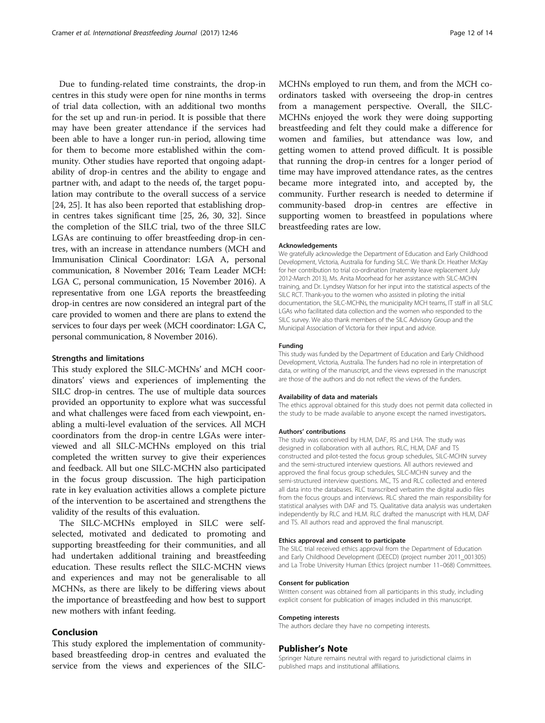Due to funding-related time constraints, the drop-in centres in this study were open for nine months in terms of trial data collection, with an additional two months for the set up and run-in period. It is possible that there may have been greater attendance if the services had been able to have a longer run-in period, allowing time for them to become more established within the community. Other studies have reported that ongoing adaptability of drop-in centres and the ability to engage and partner with, and adapt to the needs of, the target population may contribute to the overall success of a service [[24, 25\]](#page-12-0). It has also been reported that establishing dropin centres takes significant time [[25, 26](#page-12-0), [30, 32](#page-12-0)]. Since the completion of the SILC trial, two of the three SILC LGAs are continuing to offer breastfeeding drop-in centres, with an increase in attendance numbers (MCH and Immunisation Clinical Coordinator: LGA A, personal communication, 8 November 2016; Team Leader MCH: LGA C, personal communication, 15 November 2016). A representative from one LGA reports the breastfeeding drop-in centres are now considered an integral part of the care provided to women and there are plans to extend the services to four days per week (MCH coordinator: LGA C, personal communication, 8 November 2016).

#### Strengths and limitations

This study explored the SILC-MCHNs' and MCH coordinators' views and experiences of implementing the SILC drop-in centres. The use of multiple data sources provided an opportunity to explore what was successful and what challenges were faced from each viewpoint, enabling a multi-level evaluation of the services. All MCH coordinators from the drop-in centre LGAs were interviewed and all SILC-MCHNs employed on this trial completed the written survey to give their experiences and feedback. All but one SILC-MCHN also participated in the focus group discussion. The high participation rate in key evaluation activities allows a complete picture of the intervention to be ascertained and strengthens the validity of the results of this evaluation.

The SILC-MCHNs employed in SILC were selfselected, motivated and dedicated to promoting and supporting breastfeeding for their communities, and all had undertaken additional training and breastfeeding education. These results reflect the SILC-MCHN views and experiences and may not be generalisable to all MCHNs, as there are likely to be differing views about the importance of breastfeeding and how best to support new mothers with infant feeding.

#### Conclusion

This study explored the implementation of communitybased breastfeeding drop-in centres and evaluated the service from the views and experiences of the SILC- MCHNs employed to run them, and from the MCH coordinators tasked with overseeing the drop-in centres from a management perspective. Overall, the SILC-MCHNs enjoyed the work they were doing supporting breastfeeding and felt they could make a difference for women and families, but attendance was low, and getting women to attend proved difficult. It is possible that running the drop-in centres for a longer period of time may have improved attendance rates, as the centres became more integrated into, and accepted by, the community. Further research is needed to determine if community-based drop-in centres are effective in supporting women to breastfeed in populations where breastfeeding rates are low.

#### Acknowledgements

We gratefully acknowledge the Department of Education and Early Childhood Development, Victoria, Australia for funding SILC. We thank Dr. Heather McKay for her contribution to trial co-ordination (maternity leave replacement July 2012-March 2013), Ms. Anita Moorhead for her assistance with SILC-MCHN training, and Dr. Lyndsey Watson for her input into the statistical aspects of the SILC RCT. Thank-you to the women who assisted in piloting the initial documentation, the SILC-MCHNs, the municipality MCH teams, IT staff in all SILC LGAs who facilitated data collection and the women who responded to the SILC survey. We also thank members of the SILC Advisory Group and the Municipal Association of Victoria for their input and advice.

#### Funding

This study was funded by the Department of Education and Early Childhood Development, Victoria, Australia. The funders had no role in interpretation of data, or writing of the manuscript, and the views expressed in the manuscript are those of the authors and do not reflect the views of the funders.

#### Availability of data and materials

The ethics approval obtained for this study does not permit data collected in the study to be made available to anyone except the named investigators.

#### Authors' contributions

The study was conceived by HLM, DAF, RS and LHA. The study was designed in collaboration with all authors. RLC, HLM, DAF and TS constructed and pilot-tested the focus group schedules, SILC-MCHN survey and the semi-structured interview questions. All authors reviewed and approved the final focus group schedules, SILC-MCHN survey and the semi-structured interview questions. MC, TS and RLC collected and entered all data into the databases. RLC transcribed verbatim the digital audio files from the focus groups and interviews. RLC shared the main responsibility for statistical analyses with DAF and TS. Qualitative data analysis was undertaken independently by RLC and HLM. RLC drafted the manuscript with HLM, DAF and TS. All authors read and approved the final manuscript.

#### Ethics approval and consent to participate

The SILC trial received ethics approval from the Department of Education and Early Childhood Development (DEECD) (project number 2011\_001305) and La Trobe University Human Ethics (project number 11–068) Committees.

#### Consent for publication

Written consent was obtained from all participants in this study, including explicit consent for publication of images included in this manuscript.

#### Competing interests

The authors declare they have no competing interests.

#### Publisher's Note

Springer Nature remains neutral with regard to jurisdictional claims in published maps and institutional affiliations.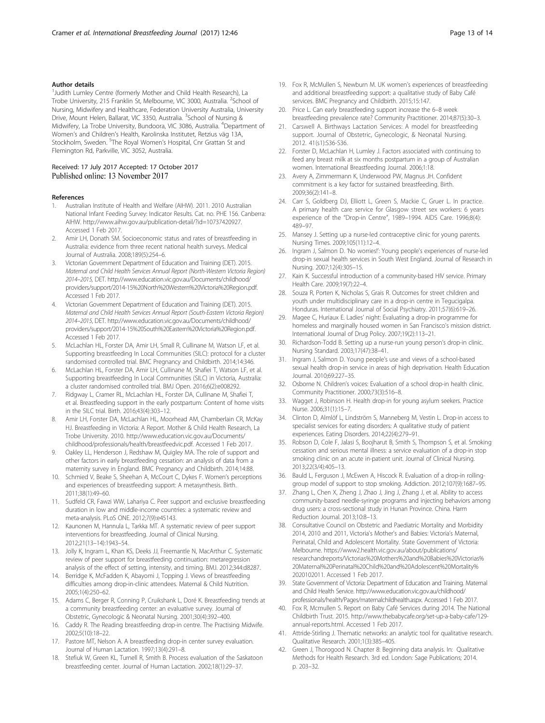#### <span id="page-12-0"></span>Author details

<sup>1</sup>Judith Lumley Centre (formerly Mother and Child Health Research), La Trobe University, 215 Franklin St, Melbourne, VIC 3000, Australia. <sup>2</sup>School of Nursing, Midwifery and Healthcare, Federation University Australia, University Drive, Mount Helen, Ballarat, VIC 3350, Australia. <sup>3</sup>School of Nursing & Midwifery, La Trobe University, Bundoora, VIC 3086, Australia. <sup>4</sup>Department of Women's and Children's Health, Karolinska Institutet, Retzius väg 13A, Stockholm, Sweden. <sup>5</sup>The Royal Women's Hospital, Cnr Grattan St and Flemington Rd, Parkville, VIC 3052, Australia.

#### Received: 17 July 2017 Accepted: 17 October 2017 Published online: 13 November 2017

#### References

- 1. Australian Institute of Health and Welfare (AIHW). 2011. 2010 Australian National Infant Feeding Survey: Indicator Results. Cat. no. PHE 156. Canberra: AIHW.<http://www.aihw.gov.au/publication-detail/?id=10737420927>. Accessed 1 Feb 2017.
- 2. Amir LH, Donath SM. Socioeconomic status and rates of breastfeeding in Australia: evidence from three recent national health surveys. Medical Journal of Australia. 2008;189(5):254–6.
- 3. Victorian Government Department of Education and Training (DET). 2015. Maternal and Child Health Services Annual Report (North-Western Victoria Region) 2014–2015, DET. [http://www.education.vic.gov.au/Documents/childhood/](http://www.education.vic.gov.au/Documents/childhood/providers/support/2014-15%20North%20Western%20Victoria%20Region.pdf) [providers/support/2014-15%20North%20Western%20Victoria%20Region.pdf.](http://www.education.vic.gov.au/Documents/childhood/providers/support/2014-15%20North%20Western%20Victoria%20Region.pdf) Accessed 1 Feb 2017.
- 4. Victorian Government Department of Education and Training (DET). 2015. Maternal and Child Health Services Annual Report (South-Eastern Victoria Region) 2014–2015, DET. [http://www.education.vic.gov.au/Documents/childhood/](http://www.education.vic.gov.au/Documents/childhood/providers/support/2014-15%20South%20Eastern%20Victoria%20Region.pdf) [providers/support/2014-15%20South%20Eastern%20Victoria%20Region.pdf](http://www.education.vic.gov.au/Documents/childhood/providers/support/2014-15%20South%20Eastern%20Victoria%20Region.pdf). Accessed 1 Feb 2017.
- 5. McLachlan HL, Forster DA, Amir LH, Small R, Cullinane M, Watson LF, et al. Supporting breastfeeding In Local Communities (SILC): protocol for a cluster randomised controlled trial. BMC Pregnancy and Childbirth. 2014;14:346.
- 6. McLachlan HL, Forster DA, Amir LH, Cullinane M, Shafiei T, Watson LF, et al. Supporting breastfeeding In Local Communities (SILC) in Victoria, Australia: a cluster randomised controlled trial. BMJ Open. 2016;6(2):e008292.
- 7. Ridgway L, Cramer RL, McLachlan HL, Forster DA, Cullinane M, Shafiei T, et al. Breastfeeding support in the early postpartum: Content of home visits in the SILC trial. Birth. 2016;43(4):303–12.
- Amir LH, Forster DA, McLachlan HL, Moorhead AM, Chamberlain CR, McKay HJ. Breastfeeding in Victoria: A Report. Mother & Child Health Research, La Trobe University. 2010. [http://www.education.vic.gov.au/Documents/](http://www.education.vic.gov.au/Documents/childhood/professionals/health/breastfeedvic.pdf) [childhood/professionals/health/breastfeedvic.pdf.](http://www.education.vic.gov.au/Documents/childhood/professionals/health/breastfeedvic.pdf) Accessed 1 Feb 2017.
- 9. Oakley LL, Henderson J, Redshaw M, Quigley MA. The role of support and other factors in early breastfeeding cessation: an analysis of data from a maternity survey in England. BMC Pregnancy and Childbirth. 2014;14:88.
- 10. Schmied V, Beake S, Sheehan A, McCourt C, Dykes F. Women's perceptions and experiences of breastfeeding support: A metasynthesis. Birth. 2011;38(1):49–60.
- 11. Sudfeld CR, Fawzi WW, Lahariya C. Peer support and exclusive breastfeeding duration in low and middle-income countries: a systematic review and meta-analysis. PLoS ONE. 2012;7(9):e45143.
- 12. Kaunonen M, Hannula L, Tarkka MT. A systematic review of peer support interventions for breastfeeding. Journal of Clinical Nursing. 2012;21(13–14):1943–54.
- 13. Jolly K, Ingram L, Khan KS, Deeks JJ, Freemantle N, MacArthur C. Systematic review of peer support for breastfeeding continuation: metaregression analysis of the effect of setting, intensity, and timing. BMJ. 2012;344:d8287.
- 14. Berridge K, McFadden K, Abayomi J, Topping J. Views of breastfeeding difficulties among drop-in-clinic attendees. Maternal & Child Nutrition. 2005;1(4):250–62.
- 15. Adams C, Berger R, Conning P, Cruikshank L, Doré K. Breastfeeding trends at a community breastfeeding center: an evaluative survey. Journal of Obstetric, Gynecologic & Neonatal Nursing. 2001;30(4):392–400.
- 16. Caddy R. The Reading breastfeeding drop-in centre. The Practising Midwife. 2002;5(10):18–22.
- 17. Pastore MT, Nelson A. A breastfeeding drop-in center survey evaluation. Journal of Human Lactation. 1997;13(4):291–8.
- 18. Stefiuk W, Green KL, Turnell R, Smith B. Process evaluation of the Saskatoon breastfeeding center. Journal of Human Lactation. 2002;18(1):29–37.
- 19. Fox R, McMullen S, Newburn M. UK women's experiences of breastfeeding and additional breastfeeding support: a qualitative study of Baby Café services. BMC Pregnancy and Childbirth. 2015;15:147.
- 20. Price L. Can early breastfeeding support increase the 6–8 week breastfeeding prevalence rate? Community Practitioner. 2014;87(5):30–3.
- 21. Carswell A. Birthways Lactation Services: A model for breastfeeding support. Journal of Obstetric, Gynecologic, & Neonatal Nursing. 2012. 41(s1):S36-S36.
- 22. Forster D, McLachlan H, Lumley J. Factors associated with continuing to feed any breast milk at six months postpartum in a group of Australian women. International Breastfeeding Journal. 2006;1:18.
- 23. Avery A, Zimmermann K, Underwood PW, Magnus JH. Confident commitment is a key factor for sustained breastfeeding. Birth. 2009;36(2):141–8.
- 24. Carr S, Goldberg DJ, Elliott L, Green S, Mackie C, Gruer L. In practice. A primary health care service for Glasgow street sex workers: 6 years experience of the "Drop-in Centre", 1989–1994. AIDS Care. 1996;8(4): 489–97.
- 25. Mansey J. Setting up a nurse-led contraceptive clinic for young parents. Nursing Times. 2009;105(11):12–4.
- 26. Ingram J, Salmon D. 'No worries!': Young people's experiences of nurse-led drop-in sexual health services in South West England. Journal of Research in Nursing. 2007;12(4):305–15.
- 27. Kain K. Successful introduction of a community-based HIV service. Primary Health Care. 2009;19(7):22–4.
- 28. Souza R, Porten K, Nicholas S, Grais R. Outcomes for street children and youth under multidisciplinary care in a drop-in centre in Tegucigalpa. Honduras. International Journal of Social Psychiatry. 2011;57(6):619–26.
- 29. Magee C, Huriaux E. Ladies' night: Evaluating a drop-in programme for homeless and marginally housed women in San Francisco's mission district. International Journal of Drug Policy. 2007;19(2):113–21.
- 30. Richardson-Todd B. Setting up a nurse-run young person's drop-in clinic. Nursing Standard. 2003;17(47):38–41.
- 31. Ingram J, Salmon D. Young people's use and views of a school-based sexual health drop-in service in areas of high deprivation. Health Education Journal. 2010;69:227–35.
- 32. Osborne N. Children's voices: Evaluation of a school drop-in health clinic. Community Practitioner. 2000;73(3):516–8.
- 33. Wagget J, Robinson H. Health drop-in for young asylum seekers. Practice Nurse. 2006;31(1):15–7.
- 34. Clinton D, Almlöf L, Lindström S, Manneberg M, Vestin L. Drop-in access to specialist services for eating disorders: A qualitative study of patient experiences. Eating Disorders. 2014;22(4):279–91.
- 35. Robson D, Cole F, Jalasi S, Boojharut B, Smith S, Thompson S, et al. Smoking cessation and serious mental illness: a service evaluation of a drop-in stop smoking clinic on an acute in-patient unit. Journal of Clinical Nursing. 2013;22(3/4):405–13.
- 36. Bauld L, Ferguson J, McEwen A, Hiscock R. Evaluation of a drop-in rollinggroup model of support to stop smoking. Addiction. 2012;107(9):1687–95.
- 37. Zhang L, Chen X, Zheng J, Zhao J, Jing J, Zhang J, et al. Ability to access community-based needle-syringe programs and injecting behaviors among drug users: a cross-sectional study in Hunan Province. China. Harm Reduction Journal. 2013;10:8–13.
- 38. Consultative Council on Obstetric and Paediatric Mortality and Morbidity 2014, 2010 and 2011, Victoria's Mother's and Babies: Victoria's Maternal, Perinatal, Child and Adolescent Mortality. State Government of Victoria: Melbourne. [https://www2.health.vic.gov.au/about/publications/](https://www2.health.vic.gov.au/about/publications/researchandreports/Victorias%20Mothers%20and%20Babies%20Victorias%20Maternal%20Perinatal%20Child%20and%20Adolescent%20Mortality%2020102011) [researchandreports/Victorias%20Mothers%20and%20Babies%20Victorias%](https://www2.health.vic.gov.au/about/publications/researchandreports/Victorias%20Mothers%20and%20Babies%20Victorias%20Maternal%20Perinatal%20Child%20and%20Adolescent%20Mortality%2020102011) [20Maternal%20Perinatal%20Child%20and%20Adolescent%20Mortality%](https://www2.health.vic.gov.au/about/publications/researchandreports/Victorias%20Mothers%20and%20Babies%20Victorias%20Maternal%20Perinatal%20Child%20and%20Adolescent%20Mortality%2020102011) [2020102011.](https://www2.health.vic.gov.au/about/publications/researchandreports/Victorias%20Mothers%20and%20Babies%20Victorias%20Maternal%20Perinatal%20Child%20and%20Adolescent%20Mortality%2020102011) Accessed 1 Feb 2017.
- 39. State Government of Victoria: Department of Education and Training. Maternal and Child Health Service. [http://www.education.vic.gov.au/childhood/](http://www.education.vic.gov.au/childhood/professionals/health/Pages/maternalchildhealth.aspx) [professionals/health/Pages/maternalchildhealth.aspx.](http://www.education.vic.gov.au/childhood/professionals/health/Pages/maternalchildhealth.aspx) Accessed 1 Feb 2017.
- 40. Fox R, Mcmullen S. Report on Baby Café Services during 2014. The National Childbirth Trust. 2015. [http://www.thebabycafe.org/set-up-a-baby-cafe/129](http://www.thebabycafe.org/set-up-a-baby-cafe/129-annual-reports.html) [annual-reports.html](http://www.thebabycafe.org/set-up-a-baby-cafe/129-annual-reports.html). Accessed 1 Feb 2017.
- 41. Attride-Stirling J. Thematic networks: an analytic tool for qualitative research. Qualitative Research. 2001;1(3):385–405.
- 42. Green J, Thorogood N. Chapter 8: Beginning data analysis. In: Qualitative Methods for Health Research. 3rd ed. London: Sage Publications; 2014. p. 203–32.